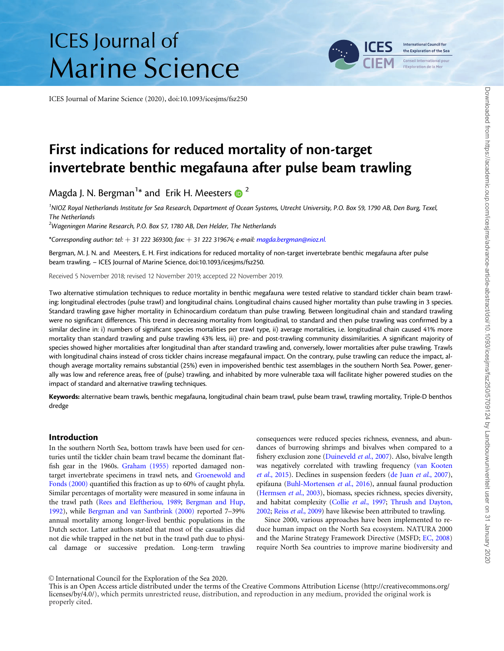# **ICES** Journal of **Marine Science**

ICES Journal of Marine Science (2020), doi:10.1093/icesjms/fsz250



First indications for reduced mortality of non-target invertebrate benthic megafauna after pulse beam trawling

Magda J. N. Bergman $^{1*}$  and Erik H. Meesters  $\textcolor{red}{\bullet}^2$ 

<sup>1</sup>NIOZ Royal Netherlands Institute for Sea Research, Department of Ocean Systems, Utrecht University, P.O. Box 59, 1790 AB, Den Burg, Texel, The Netherlands

 $^{2}$ Wageningen Marine Research, P.O. Box 57, 1780 AB, Den Helder, The Netherlands

\*Corresponding author: tel:  $+31$  222 369300; fax:  $+31$  222 319674; e-mail: [magda.bergman@nioz.nl.](mailto:magda.bergman@nioz.nl.)

Bergman, M. J. N. and Meesters, E. H. First indications for reduced mortality of non-target invertebrate benthic megafauna after pulse beam trawling. – ICES Journal of Marine Science, doi:10.1093/icesjms/fsz250.

Received 5 November 2018; revised 12 November 2019; accepted 22 November 2019.

Two alternative stimulation techniques to reduce mortality in benthic megafauna were tested relative to standard tickler chain beam trawling: longitudinal electrodes (pulse trawl) and longitudinal chains. Longitudinal chains caused higher mortality than pulse trawling in 3 species. Standard trawling gave higher mortality in Echinocardium cordatum than pulse trawling. Between longitudinal chain and standard trawling were no significant differences. This trend in decreasing mortality from longitudinal, to standard and then pulse trawling was confirmed by a similar decline in: i) numbers of significant species mortalities per trawl type, ii) average mortalities, i.e. longitudinal chain caused 41% more mortality than standard trawling and pulse trawling 43% less, iii) pre- and post-trawling community dissimilarities. A significant majority of species showed higher mortalities after longitudinal than after standard trawling and, conversely, lower mortalities after pulse trawling. Trawls with longitudinal chains instead of cross tickler chains increase megafaunal impact. On the contrary, pulse trawling can reduce the impact, although average mortality remains substantial (25%) even in impoverished benthic test assemblages in the southern North Sea. Power, generally was low and reference areas, free of (pulse) trawling, and inhabited by more vulnerable taxa will facilitate higher powered studies on the impact of standard and alternative trawling techniques.

Keywords: alternative beam trawls, benthic megafauna, longitudinal chain beam trawl, pulse beam trawl, trawling mortality, Triple-D benthos dredge

### Introduction

In the southern North Sea, bottom trawls have been used for centuries until the tickler chain beam trawl became the dominant flatfish gear in the 1960s. [Graham \(1955\)](#page-10-0) reported damaged nontarget invertebrate specimens in trawl nets, and [Groenewold and](#page-10-0) [Fonds \(2000\)](#page-10-0) quantified this fraction as up to 60% of caught phyla. Similar percentages of mortality were measured in some infauna in the trawl path [\(Rees and Eleftheriou, 1989;](#page-10-0) [Bergman and Hup,](#page-9-0) [1992](#page-9-0)), while [Bergman and van Santbrink \(2000\)](#page-9-0) reported 7–39% annual mortality among longer-lived benthic populations in the Dutch sector. Latter authors stated that most of the casualties did not die while trapped in the net but in the trawl path due to physical damage or successive predation. Long-term trawling

consequences were reduced species richness, evenness, and abundances of burrowing shrimps and bivalves when compared to a fishery exclusion zone ([Duineveld](#page-10-0) et al., 2007). Also, bivalve length was negatively correlated with trawling frequency [\(van Kooten](#page-11-0) et al.[, 2015](#page-11-0)). Declines in suspension feeders ([de Juan](#page-10-0) et al., 2007), epifauna [\(Buhl-Mortensen](#page-9-0) et al., 2016), annual faunal production [\(Hermsen](#page-10-0) et al., 2003), biomass, species richness, species diversity, and habitat complexity (Collie et al.[, 1997;](#page-10-0) [Thrush and Dayton,](#page-11-0) [2002;](#page-11-0) Reiss et al.[, 2009\)](#page-10-0) have likewise been attributed to trawling.

Since 2000, various approaches have been implemented to reduce human impact on the North Sea ecosystem. NATURA 2000 and the Marine Strategy Framework Directive (MSFD; [EC, 2008\)](#page-10-0) require North Sea countries to improve marine biodiversity and

V<sup>C</sup> International Council for the Exploration of the Sea 2020.

This is an Open Access article distributed under the terms of the Creative Commons Attribution License ([http://creativecommons.org/](Undefined namespace prefix
xmlXPathCompOpEval: parameter error
xmlXPathEval: evaluation failed
) [licenses/by/4.0/\)](Undefined namespace prefix
xmlXPathCompOpEval: parameter error
xmlXPathEval: evaluation failed
), which permits unrestricted reuse, distribution, and reproduction in any medium, provided the original work is properly cited.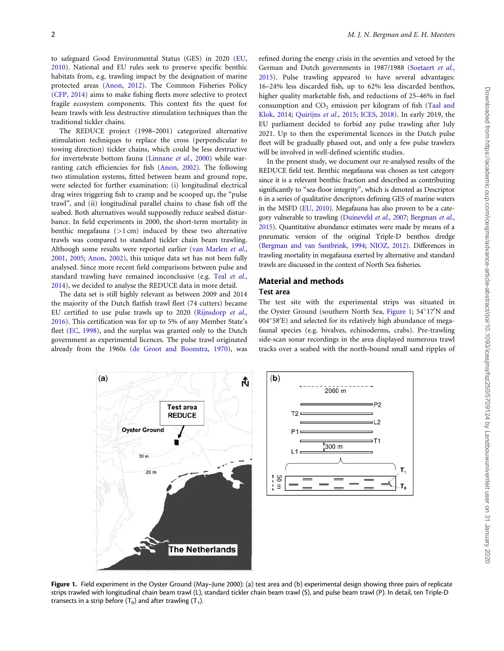<span id="page-1-0"></span>to safeguard Good Environmental Status (GES) in 2020 ([EU,](#page-10-0) [2010\)](#page-10-0). National and EU rules seek to preserve specific benthic habitats from, e.g. trawling impact by the designation of marine protected areas [\(Anon, 2012\)](#page-9-0). The Common Fisheries Policy ([CFP, 2014](#page-10-0)) aims to make fishing fleets more selective to protect fragile ecosystem components. This context fits the quest for beam trawls with less destructive stimulation techniques than the traditional tickler chains.

The REDUCE project (1998–2001) categorized alternative stimulation techniques to replace the cross (perpendicular to towing direction) tickler chains, which could be less destructive for invertebrate bottom fauna [\(Linnane](#page-10-0) et al., 2000) while warranting catch efficiencies for fish ([Anon, 2002\)](#page-9-0). The following two stimulation systems, fitted between beam and ground rope, were selected for further examination: (i) longitudinal electrical drag wires triggering fish to cramp and be scooped up, the "pulse trawl", and (ii) longitudinal parallel chains to chase fish off the seabed. Both alternatives would supposedly reduce seabed disturbance. In field experiments in 2000, the short-term mortality in benthic megafauna  $(>1 \text{ cm})$  induced by these two alternative trawls was compared to standard tickler chain beam trawling. Although some results were reported earlier ([van Marlen](#page-11-0) et al., [2001,](#page-11-0) [2005;](#page-11-0) [Anon, 2002\)](#page-9-0), this unique data set has not been fully analysed. Since more recent field comparisons between pulse and standard trawling have remained inconclusive (e.g. Teal [et al.](#page-11-0), [2014\)](#page-11-0), we decided to analyse the REDUCE data in more detail.

The data set is still highly relevant as between 2009 and 2014 the majority of the Dutch flatfish trawl fleet (74 cutters) became EU certified to use pulse trawls up to 2020 [\(Rijnsdorp](#page-11-0) et al., [2016\)](#page-11-0). This certification was for up to 5% of any Member State's fleet [\(EC, 1998](#page-10-0)), and the surplus was granted only to the Dutch government as experimental licences. The pulse trawl originated already from the 1960s [\(de Groot and Boonstra, 1970\)](#page-10-0), was refined during the energy crisis in the seventies and vetoed by the German and Dutch governments in 1987/1988 ([Soetaert](#page-11-0) et al., [2015\)](#page-11-0). Pulse trawling appeared to have several advantages: 16–24% less discarded fish, up to 62% less discarded benthos, higher quality marketable fish, and reductions of 25–46% in fuel consumption and  $CO<sub>2</sub>$  emission per kilogram of fish [\(Taal and](#page-11-0) [Klok, 2014](#page-11-0); [Quirijns](#page-10-0) et al., 2015; [ICES, 2018](#page-10-0)). In early 2019, the EU parliament decided to forbid any pulse trawling after July 2021. Up to then the experimental licences in the Dutch pulse fleet will be gradually phased out, and only a few pulse trawlers will be involved in well-defined scientific studies.

In the present study, we document our re-analysed results of the REDUCE field test. Benthic megafauna was chosen as test category since it is a relevant benthic fraction and described as contributing significantly to "sea-floor integrity", which is denoted as Descriptor 6 in a series of qualitative descriptors defining GES of marine waters in the MSFD [\(EU, 2010](#page-10-0)). Megafauna has also proven to be a category vulnerable to trawling ([Duineveld](#page-10-0) et al., 2007; [Bergman](#page-9-0) et al., [2015](#page-9-0)). Quantitative abundance estimates were made by means of a pneumatic version of the original Triple-D benthos dredge ([Bergman and van Santbrink, 1994;](#page-9-0) [NIOZ, 2012\)](#page-10-0). Differences in trawling mortality in megafauna exerted by alternative and standard trawls are discussed in the context of North Sea fisheries.

# Material and methods

Test area

The test site with the experimental strips was situated in the Oyster Ground (southern North Sea, Figure 1; 54°17'N and 004°58'E) and selected for its relatively high abundance of megafaunal species (e.g. bivalves, echinoderms, crabs). Pre-trawling side-scan sonar recordings in the area displayed numerous trawl tracks over a seabed with the north-bound small sand ripples of



Figure 1. Field experiment in the Oyster Ground (May-June 2000): (a) test area and (b) experimental design showing three pairs of replicate strips trawled with longitudinal chain beam trawl (L), standard tickler chain beam trawl (S), and pulse beam trawl (P). In detail, ten Triple-D transects in a strip before  $(T_0)$  and after trawling  $(T_1)$ .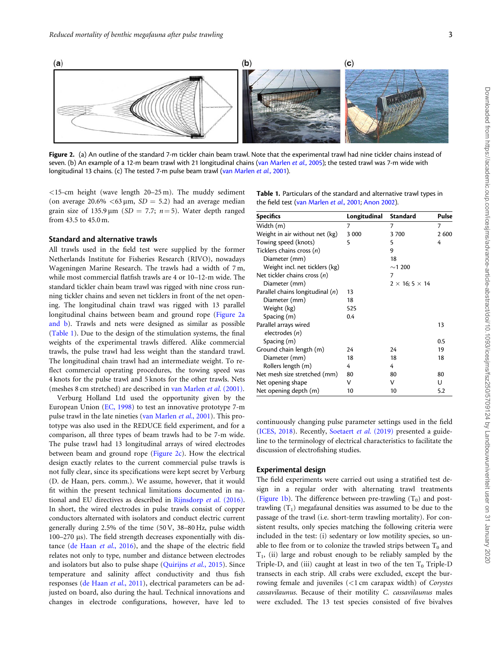<span id="page-2-0"></span>

Figure 2. (a) An outline of the standard 7-m tickler chain beam trawl. Note that the experimental trawl had nine tickler chains instead of seven. (b) An example of a 12-m beam trawl with 21 longitudinal chains ([van Marlen](#page-11-0) et al., 2005); the tested trawl was 7-m wide with longitudinal 13 chains. (c) The tested 7-m pulse beam trawl [\(van Marlen](#page-11-0) et al., 2001).

 $<$ 15-cm height (wave length 20–25 m). The muddy sediment (on average  $20.6\% < 63 \,\mu \text{m}$ ,  $SD = 5.2$ ) had an average median grain size of 135.9  $\mu$ m (SD = 7.7; n = 5). Water depth ranged from 43.5 to 45.0 m.

# Standard and alternative trawls

All trawls used in the field test were supplied by the former Netherlands Institute for Fisheries Research (RIVO), nowadays Wageningen Marine Research. The trawls had a width of 7 m, while most commercial flatfish trawls are 4 or 10–12-m wide. The standard tickler chain beam trawl was rigged with nine cross running tickler chains and seven net ticklers in front of the net opening. The longitudinal chain trawl was rigged with 13 parallel longitudinal chains between beam and ground rope (Figure 2a and b). Trawls and nets were designed as similar as possible (Table 1). Due to the design of the stimulation systems, the final weights of the experimental trawls differed. Alike commercial trawls, the pulse trawl had less weight than the standard trawl. The longitudinal chain trawl had an intermediate weight. To reflect commercial operating procedures, the towing speed was 4 knots for the pulse trawl and 5 knots for the other trawls. Nets (meshes 8 cm stretched) are described in [van Marlen](#page-11-0) et al. (2001).

Verburg Holland Ltd used the opportunity given by the European Union [\(EC, 1998](#page-10-0)) to test an innovative prototype 7-m pulse trawl in the late nineties [\(van Marlen](#page-11-0) et al., 2001). This prototype was also used in the REDUCE field experiment, and for a comparison, all three types of beam trawls had to be 7-m wide. The pulse trawl had 13 longitudinal arrays of wired electrodes between beam and ground rope (Figure 2c). How the electrical design exactly relates to the current commercial pulse trawls is not fully clear, since its specifications were kept secret by Verburg (D. de Haan, pers. comm.). We assume, however, that it would fit within the present technical limitations documented in national and EU directives as described in [Rijnsdorp](#page-11-0) et al. (2016). In short, the wired electrodes in pulse trawls consist of copper conductors alternated with isolators and conduct electric current generally during 2.5% of the time (50 V, 38–80 Hz, pulse width  $100-270$   $\mu$ s). The field strength decreases exponentially with dis-tance [\(de Haan](#page-10-0) et al., 2016), and the shape of the electric field relates not only to type, number and distance between electrodes and isolators but also to pulse shape [\(Quirijns](#page-10-0) et al., 2015). Since temperature and salinity affect conductivity and thus fish responses [\(de Haan](#page-10-0) et al., 2011), electrical parameters can be adjusted on board, also during the haul. Technical innovations and changes in electrode configurations, however, have led to

Table 1. Particulars of the standard and alternative trawl types in the field test [\(van Marlen](#page-11-0) et al., 2001; [Anon 2002](#page-9-0)).

| <b>Specifics</b>                   | Longitudinal | <b>Standard</b>               | Pulse |
|------------------------------------|--------------|-------------------------------|-------|
| Width (m)                          | 7            | 7                             | 7     |
| Weight in air without net (kg)     | 3 0 0 0      | 3 700                         | 2 600 |
| Towing speed (knots)               | 5            | 5                             | 4     |
| Ticklers chains cross (n)          |              | 9                             |       |
| Diameter (mm)                      |              | 18                            |       |
| Weight incl. net ticklers (kg)     |              | $\sim$ 1 200                  |       |
| Net tickler chains cross $(n)$     |              | 7                             |       |
| Diameter (mm)                      |              | $2 \times 16$ ; 5 $\times$ 14 |       |
| Parallel chains longitudinal $(n)$ | 13           |                               |       |
| Diameter (mm)                      | 18           |                               |       |
| Weight (kg)                        | 525          |                               |       |
| Spacing (m)                        | 0.4          |                               |       |
| Parallel arrays wired              |              |                               | 13    |
| electrodes (n)                     |              |                               |       |
| Spacing (m)                        |              |                               | 0.5   |
| Ground chain length (m)            | 24           | 24                            | 19    |
| Diameter (mm)                      | 18           | 18                            | 18    |
| Rollers length (m)                 | 4            | 4                             |       |
| Net mesh size stretched (mm)       | 80           | 80                            | 80    |
| Net opening shape                  | ν            | ν                             | U     |
| Net opening depth (m)              | 10           | 10                            | 5.2   |

continuously changing pulse parameter settings used in the field [\(ICES, 2018\)](#page-10-0). Recently, [Soetaert](#page-11-0) et al. (2019) presented a guideline to the terminology of electrical characteristics to facilitate the discussion of electrofishing studies.

#### Experimental design

The field experiments were carried out using a stratified test design in a regular order with alternating trawl treatments [\(Figure 1b](#page-1-0)). The difference between pre-trawling  $(T_0)$  and posttrawling  $(T_1)$  megafaunal densities was assumed to be due to the passage of the trawl (i.e. short-term trawling mortality). For consistent results, only species matching the following criteria were included in the test: (i) sedentary or low motility species, so unable to flee from or to colonize the trawled strips between  $T_0$  and  $T_1$ , (ii) large and robust enough to be reliably sampled by the Triple-D, and (iii) caught at least in two of the ten  $T_0$  Triple-D transects in each strip. All crabs were excluded, except the burrowing female and juveniles (<1 cm carapax width) of Corystes cassavilaunus. Because of their motility C. cassavilaunus males were excluded. The 13 test species consisted of five bivalves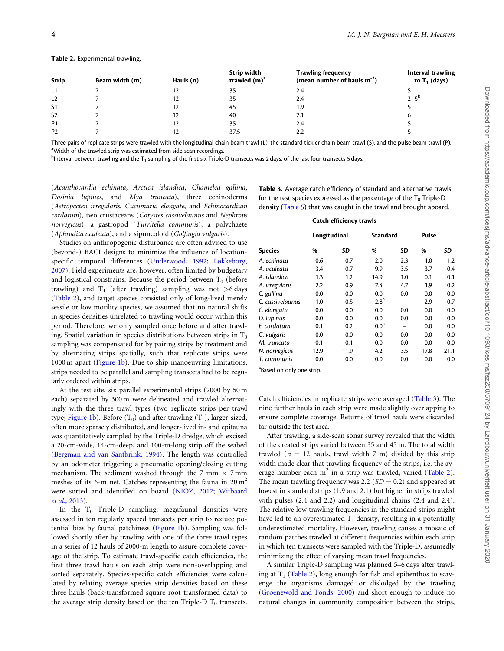| <b>Strip</b>   | Beam width (m) | Hauls (n) | Strip width<br>trawled $(m)^a$ | <b>Trawling frequency</b><br>(mean number of hauls $m^{-2}$ ) | Interval trawling<br>to $T_1$ (days) |
|----------------|----------------|-----------|--------------------------------|---------------------------------------------------------------|--------------------------------------|
| L1             |                | 12        | 35                             | 2.4                                                           |                                      |
| L <sub>2</sub> |                | 12        | 35                             | 2.4                                                           | $2 - 5^{p}$                          |
| S <sub>1</sub> |                | 12        | 45                             | 1.9                                                           |                                      |
| S <sub>2</sub> |                | 12        | 40                             | 2.1                                                           |                                      |
| P <sub>1</sub> |                | 12        | 35                             | 2.4                                                           |                                      |
| P <sub>2</sub> |                |           | 37.5                           | 2.2                                                           |                                      |

<span id="page-3-0"></span>Table 2. Experimental trawling.

Three pairs of replicate strips were trawled with the longitudinal chain beam trawl (L), the standard tickler chain beam trawl (S), and the pulse beam trawl (P). <sup>a</sup>Width of the trawled strip was estimated from side-scan recordings.

 $^{\rm b}$ Interval between trawling and the T $_1$  sampling of the first six Triple-D transects was 2 days, of the last four transects 5 days.

(Acanthocardia echinata, Arctica islandica, Chamelea gallina, Dosinia lupines, and Mya truncata), three echinoderms (Astropecten irregularis, Cucumaria elongate, and Echinocardium cordatum), two crustaceans (Corystes cassivelaunus and Nephrops norvegicus), a gastropod (Turritella communis), a polychaete (Aphrodita aculeata), and a sipuncoloid (Golfingia vulgaris).

Studies on anthropogenic disturbance are often advised to use (beyond-) BACI designs to minimize the influence of locationspecific temporal differences [\(Underwood, 1992](#page-11-0); [Løkkeborg,](#page-10-0) [2007\)](#page-10-0). Field experiments are, however, often limited by budgetary and logistical constrains. Because the period between  $T_0$  (before trawling) and  $T_1$  (after trawling) sampling was not  $>6$  days (Table 2), and target species consisted only of long-lived merely sessile or low motility species, we assumed that no natural shifts in species densities unrelated to trawling would occur within this period. Therefore, we only sampled once before and after trawling. Spatial variation in species distributions between strips in  $T_0$ sampling was compensated for by pairing strips by treatment and by alternating strips spatially, such that replicate strips were 1000 m apart ([Figure 1b\)](#page-1-0). Due to ship manoeuvring limitations, strips needed to be parallel and sampling transects had to be regularly ordered within strips.

At the test site, six parallel experimental strips (2000 by 50 m each) separated by 300 m were delineated and trawled alternatingly with the three trawl types (two replicate strips per trawl type; [Figure 1b\)](#page-1-0). Before  $(T_0)$  and after trawling  $(T_1)$ , larger-sized, often more sparsely distributed, and longer-lived in- and epifauna was quantitatively sampled by the Triple-D dredge, which excised a 20-cm-wide, 14-cm-deep, and 100-m-long strip off the seabed ([Bergman and van Santbrink, 1994\)](#page-9-0). The length was controlled by an odometer triggering a pneumatic opening/closing cutting mechanism. The sediment washed through the 7 mm  $\times$  7 mm meshes of its 6-m net. Catches representing the fauna in  $20 \text{ m}^2$ were sorted and identified on board [\(NIOZ, 2012](#page-10-0); [Witbaard](#page-11-0) et al.[, 2013](#page-11-0)).

In the  $T_0$  Triple-D sampling, megafaunal densities were assessed in ten regularly spaced transects per strip to reduce potential bias by faunal patchiness ([Figure 1b](#page-1-0)). Sampling was followed shortly after by trawling with one of the three trawl types in a series of 12 hauls of 2000-m length to assure complete coverage of the strip. To estimate trawl-specific catch efficiencies, the first three trawl hauls on each strip were non-overlapping and sorted separately. Species-specific catch efficiencies were calculated by relating average species strip densities based on these three hauls (back-transformed square root transformed data) to the average strip density based on the ten Triple-D  $T_0$  transects.

Table 3. Average catch efficiency of standard and alternative trawls for the test species expressed as the percentage of the  $T_0$  Triple-D density [\(Table 5\)](#page-5-0) that was caught in the trawl and brought aboard.

|                  | Catch efficiency trawls |      |                  |     |       |      |  |  |
|------------------|-------------------------|------|------------------|-----|-------|------|--|--|
|                  | Longitudinal            |      | <b>Standard</b>  |     | Pulse |      |  |  |
| <b>Species</b>   | %                       | SD   | %                | SD  | %     | SD   |  |  |
| A. echinata      | 0.6                     | 0.7  | 2.0              | 2.3 | 1.0   | 1.2  |  |  |
| A. aculeata      | 3.4                     | 0.7  | 9.9              | 3.5 | 3.7   | 0.4  |  |  |
| A. islandica     | $1.3\,$                 | 1.2  | 14.9             | 1.0 | 0.1   | 0.1  |  |  |
| A. irregularis   | 2.2                     | 0.9  | 7.4              | 4.7 | 1.9   | 0.2  |  |  |
| C. gallina       | 0.0                     | 0.0  | 0.0              | 0.0 | 0.0   | 0.0  |  |  |
| C. cassivelaunus | 1.0                     | 0.5  | 2.8 <sup>a</sup> |     | 2.9   | 0.7  |  |  |
| C. elongata      | 0.0                     | 0.0  | 0.0              | 0.0 | 0.0   | 0.0  |  |  |
| D. lupinus       | 0.0                     | 0.0  | 0.0              | 0.0 | 0.0   | 0.0  |  |  |
| E. cordatum      | 0.1                     | 0.2  | 0.0 <sup>a</sup> |     | 0.0   | 0.0  |  |  |
| G. vulgaris      | 0.0                     | 0.0  | 0.0              | 0.0 | 0.0   | 0.0  |  |  |
| M. truncata      | 0.1                     | 0.1  | 0.0              | 0.0 | 0.0   | 0.0  |  |  |
| N. norvegicus    | 12.9                    | 11.9 | 4.2              | 3.5 | 17.8  | 21.1 |  |  |
| T. communis      | 0.0                     | 0.0  | 0.0              | 0.0 | 0.0   | 0.0  |  |  |

<sup>a</sup>Based on only one strip.

Catch efficiencies in replicate strips were averaged (Table 3). The nine further hauls in each strip were made slightly overlapping to ensure complete coverage. Returns of trawl hauls were discarded far outside the test area.

After trawling, a side-scan sonar survey revealed that the width of the created strips varied between 35 and 45 m. The total width trawled ( $n = 12$  hauls, trawl width 7 m) divided by this strip width made clear that trawling frequency of the strips, i.e. the average number each  $m^2$  in a strip was trawled, varied (Table 2). The mean trawling frequency was 2.2 ( $SD = 0.2$ ) and appeared at lowest in standard strips (1.9 and 2.1) but higher in strips trawled with pulses (2.4 and 2.2) and longitudinal chains (2.4 and 2.4). The relative low trawling frequencies in the standard strips might have led to an overestimated  $T_1$  density, resulting in a potentially underestimated mortality. However, trawling causes a mosaic of random patches trawled at different frequencies within each strip in which ten transects were sampled with the Triple-D, assumedly minimizing the effect of varying mean trawl frequencies.

A similar Triple-D sampling was planned 5–6 days after trawling at  $T_1$  (Table 2), long enough for fish and epibenthos to scavenge the organisms damaged or dislodged by the trawling ([Groenewold and Fonds, 2000\)](#page-10-0) and short enough to induce no natural changes in community composition between the strips,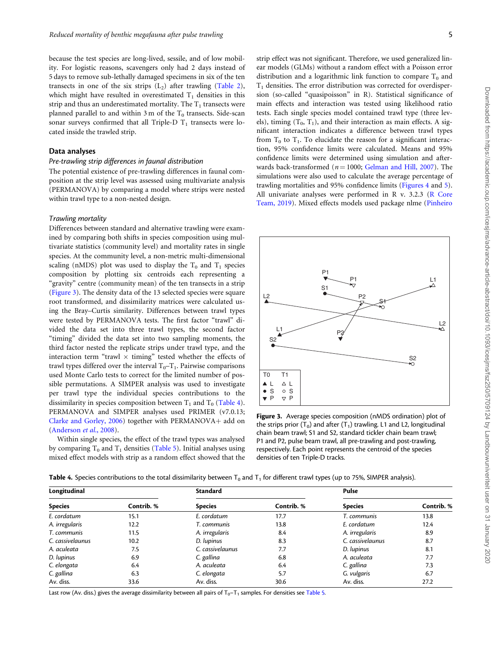<span id="page-4-0"></span>because the test species are long-lived, sessile, and of low mobility. For logistic reasons, scavengers only had 2 days instead of 5 days to remove sub-lethally damaged specimens in six of the ten transects in one of the six strips  $(L_2)$  after trawling ([Table 2](#page-3-0)), which might have resulted in overestimated  $T_1$  densities in this strip and thus an underestimated mortality. The  $T_1$  transects were planned parallel to and within 3 m of the  $T_0$  transects. Side-scan sonar surveys confirmed that all Triple-D  $T_1$  transects were located inside the trawled strip.

#### Data analyses

# Pre-trawling strip differences in faunal distribution

The potential existence of pre-trawling differences in faunal composition at the strip level was assessed using multivariate analysis (PERMANOVA) by comparing a model where strips were nested within trawl type to a non-nested design.

#### Trawling mortality

Differences between standard and alternative trawling were examined by comparing both shifts in species composition using multivariate statistics (community level) and mortality rates in single species. At the community level, a non-metric multi-dimensional scaling (nMDS) plot was used to display the  $T_0$  and  $T_1$  species composition by plotting six centroids each representing a "gravity" centre (community mean) of the ten transects in a strip (Figure 3). The density data of the 13 selected species were square root transformed, and dissimilarity matrices were calculated using the Bray–Curtis similarity. Differences between trawl types were tested by PERMANOVA tests. The first factor "trawl" divided the data set into three trawl types, the second factor "timing" divided the data set into two sampling moments, the third factor nested the replicate strips under trawl type, and the interaction term "trawl  $\times$  timing" tested whether the effects of trawl types differed over the interval  $T_0$ – $T_1$ . Pairwise comparisons used Monte Carlo tests to correct for the limited number of possible permutations. A SIMPER analysis was used to investigate per trawl type the individual species contributions to the dissimilarity in species composition between  $T_1$  and  $T_0$  (Table 4). PERMANOVA and SIMPER analyses used PRIMER (v7.0.13; Clarke and Gorley,  $2006$ ) together with PERMANOVA+ add on ([Anderson](#page-9-0) et al., 2008).

Within single species, the effect of the trawl types was analysed by comparing  $T_0$  and  $T_1$  densities ([Table 5](#page-5-0)). Initial analyses using mixed effect models with strip as a random effect showed that the

strip effect was not significant. Therefore, we used generalized linear models (GLMs) without a random effect with a Poisson error distribution and a logarithmic link function to compare  $T_0$  and  $T_1$  densities. The error distribution was corrected for overdispersion (so-called "quasipoisson" in R). Statistical significance of main effects and interaction was tested using likelihood ratio tests. Each single species model contained trawl type (three levels), timing  $(T_0, T_1)$ , and their interaction as main effects. A significant interaction indicates a difference between trawl types from  $T_0$  to  $T_1$ . To elucidate the reason for a significant interaction, 95% confidence limits were calculated. Means and 95% confidence limits were determined using simulation and afterwards back-transformed ( $n = 1000$ ; [Gelman and Hill, 2007\)](#page-10-0). The simulations were also used to calculate the average percentage of trawling mortalities and 95% confidence limits [\(Figures 4](#page-7-0) and [5](#page-7-0)). All univariate analyses were performed in R v. 3.2.3 [\(R Core](#page-10-0) [Team, 2019\)](#page-10-0). Mixed effects models used package nlme ([Pinheiro](#page-10-0)



Figure 3. Average species composition (nMDS ordination) plot of the strips prior  $(T_0)$  and after  $(T_1)$  trawling. L1 and L2, longitudinal chain beam trawl; S1 and S2, standard tickler chain beam trawl; P1 and P2, pulse beam trawl, all pre-trawling and post-trawling, respectively. Each point represents the centroid of the species densities of ten Triple-D tracks.

| <b>Table 4.</b> Species contributions to the total dissimilarity between $T_0$ and $T_1$ for different trawl types (up to 75%, SIMPER analysis). |  |  |  |
|--------------------------------------------------------------------------------------------------------------------------------------------------|--|--|--|
|--------------------------------------------------------------------------------------------------------------------------------------------------|--|--|--|

| Longitudinal     |            | <b>Standard</b>  |            | Pulse            |            |  |
|------------------|------------|------------------|------------|------------------|------------|--|
| <b>Species</b>   | Contrib. % | <b>Species</b>   | Contrib. % | <b>Species</b>   | Contrib. % |  |
| E. cordatum      | 15.1       | E. cordatum      | 17.7       | T. communis      | 13.8       |  |
| A. irregularis   | 12.2       | T. communis      | 13.8       | E. cordatum      | 12.4       |  |
| T. communis      | 11.5       | A. irregularis   | 8.4        | A. irregularis   | 8.9        |  |
| C. cassivelaunus | 10.2       | D. lupinus       | 8.3        | C. cassivelaunus | 8.7        |  |
| A. aculeata      | 7.5        | C. cassivelaunus | 7.7        | D. lupinus       | 8.1        |  |
| D. lupinus       | 6.9        | C. gallina       | 6.8        | A. aculeata      | 7.7        |  |
| C. elongata      | 6.4        | A. aculeata      | 6.4        | C. gallina       | 7.3        |  |
| C. gallina       | 6.3        | C. elongata      | 5.7        | G. vulgaris      | 6.7        |  |
| Av. diss.        | 33.6       | Av. diss.        | 30.6       | Av. diss.        | 27.2       |  |

Last row (Av. diss.) gives the average dissimilarity between all pairs of  $T_0-T_1$  samples. For densities see [Table 5.](#page-5-0)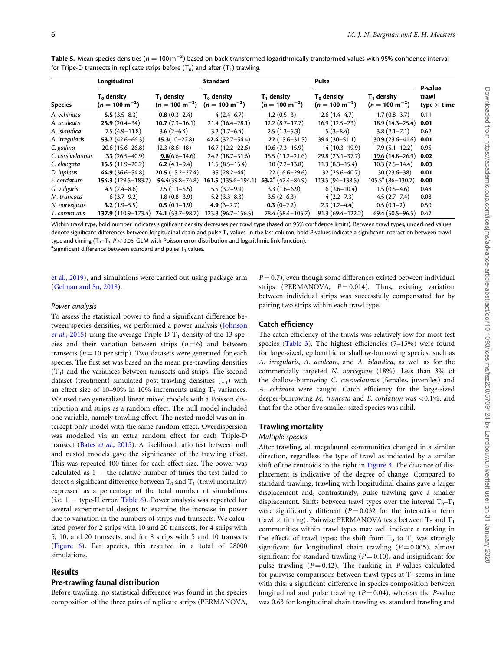|                  | Longitudinal                                |                                                      | <b>Standard</b>                             |                                             | Pulse                                       |                                             |                                        |
|------------------|---------------------------------------------|------------------------------------------------------|---------------------------------------------|---------------------------------------------|---------------------------------------------|---------------------------------------------|----------------------------------------|
| <b>Species</b>   | $T_0$ density<br>$(n = 100 \text{ m}^{-2})$ | T <sub>1</sub> density<br>$(n = 100 \text{ m}^{-2})$ | $T_0$ density<br>$(n = 100 \text{ m}^{-2})$ | $T_1$ density<br>$(n = 100 \text{ m}^{-2})$ | $T_0$ density<br>$(n = 100 \text{ m}^{-2})$ | $T_1$ density<br>$(n = 100 \text{ m}^{-2})$ | P-value<br>trawl<br>type $\times$ time |
| A. echinata      | $5.5(3.5-8.3)$                              | $0.8(0.3-2.4)$                                       | $4(2.4-6.7)$                                | $1.2(0.5-3)$                                | $2.6(1.4-4.7)$                              | $1.7(0.8-3.7)$                              | 0.11                                   |
| A. aculeata      | $25.9(20.4-34)$                             | $10.7(7.3-16.1)$                                     | $21.4(16.4-28.1)$                           | $12.2(8.7-17.7)$                            | $16.9(12.5-23)$                             | $18.9(14.3-25.4)$                           | 0.01                                   |
| A. islandica     | $7.5(4.9-11.8)$                             | $3.6(2-6.4)$                                         | $3.2(1.7-6.4)$                              | $2.5(1.3-5.3)$                              | $5(3-8.4)$                                  | $3.8(2.1 - 7.1)$                            | 0.62                                   |
| A. irregularis   | 53.7 $(42.6 - 66.3)$                        | $15.3(10-22.8)$                                      | $42.4(32.7-54.4)$                           | $22(15.6 - 31.5)$                           | $39.4(30-51.1)$                             | $30.9(23.6-41.6)$ 0.01                      |                                        |
| C. gallina       | $20.6(15.6-26.8)$                           | $12.3(8.6-18)$                                       | $16.7(12.2-22.6)$                           | $10.6(7.3-15.9)$                            | $14(10.3-19.9)$                             | $7.9(5.1 - 12.2)$                           | 0.95                                   |
| C. cassivelaunus | 33 $(26.5 - 40.9)$                          | $9.8(6.6 - 14.6)$                                    | $24.2(18.7-31.6)$                           | $15.5(11.2 - 21.6)$                         | $29.8(23.1-37.7)$                           | 19.6 (14.8-26.9)                            | 0.02                                   |
| C. elongata      | $15.5(11.9-20.2)$                           | 6.2 $(4.1-9.4)$                                      | $11.5(8.5-15.4)$                            | $10(7.2-13.8)$                              | $11.3(8.3-15.4)$                            | $10.3(7.5-14.4)$                            | 0.03                                   |
| D. lupinus       | $44.9(36.6 - 54.8)$                         | $20.5(15.2-27.4)$                                    | $35(28.2-44)$                               | $22(16.6-29.6)$                             | $32(25.6 - 40.7)$                           | $30(23.6-38)$                               | 0.01                                   |
| E. cordatum      | $154.3(129.5-183.7)$                        | $54.4(39.8 - 74.8)$                                  | $161.5(135.6 - 194.1)$                      | 63.2 <sup>a</sup> (47.4–84.9)               | 113.5 (94-138.5)                            | $105.5^a$ (86-130.7)                        | 0.00                                   |
| G. vulgaris      | $4.5(2.4-8.6)$                              | $2.5(1.1-5.5)$                                       | $5.5(3.2-9.9)$                              | $3.3(1.6-6.9)$                              | $6(3.6 - 10.4)$                             | $1.5(0.5-4.6)$                              | 0.48                                   |
| M. truncata      | $6(3.7-9.2)$                                | $1.8(0.8-3.9)$                                       | $5.2(3.3-8.3)$                              | $3.5(2-6.3)$                                | $4(2.2 - 7.3)$                              | $4.5(2.7 - 7.4)$                            | 0.08                                   |
| N. norvegicus    | $3.2(1.9-5.5)$                              | $0.5(0.1-1.9)$                                       | $4.9(3 - 7.7)$                              | $0.3(0-2.2)$                                | $2.3(1.2-4.4)$                              | $0.5(0.1-2)$                                | 0.50                                   |
| T. communis      | $137.9(110.9-173.4)$                        | $74.1(53.7-98.7)$                                    | 123.3 (96.7-156.5)                          | 78.4 (58.4-105.7)                           | $91.3(69.4 - 122.2)$                        | $69.4(50.5-96.5)$                           | 0.47                                   |

<span id="page-5-0"></span>**Table 5.** Mean species densities ( $n=100\,\rm{m}^{-2}$ ) based on back-transformed logarithmically transformed values with 95% confidence interval for Tripe-D transects in replicate strips before  $(T_0)$  and after  $(T_1)$  trawling.

Within trawl type, bold number indicates significant density decreases per trawl type (based on 95% confidence limits). Between trawl types, underlined values denote significant differences between longitudinal chain and pulse  $T_1$  values. In the last column, bold P-values indicate a significant interaction between trawl type and timing  $(T_0-T_1; P < 0.05$ ; GLM with Poisson error distribution and logarithmic link function).

<sup>a</sup>Significant difference between standard and pulse  $T_1$  values.

[et al., 2019\)](#page-10-0), and simulations were carried out using package arm ([Gelman and Su, 2018](#page-10-0)).

# $P = 0.7$ , even though some differences existed between individual strips (PERMANOVA,  $P = 0.014$ ). Thus, existing variation between individual strips was successfully compensated for by pairing two strips within each trawl type.

#### Power analysis

To assess the statistical power to find a significant difference between species densities, we performed a power analysis [\(Johnson](#page-10-0) *et al.*[, 2015](#page-10-0)) using the average Triple-D  $T_0$ -density of the 13 species and their variation between strips  $(n=6)$  and between transects ( $n = 10$  per strip). Two datasets were generated for each species. The first set was based on the mean pre-trawling densities  $(T_0)$  and the variances between transects and strips. The second dataset (treatment) simulated post-trawling densities  $(T_1)$  with an effect size of 10–90% in 10% increments using  $T_0$  variances. We used two generalized linear mixed models with a Poisson distribution and strips as a random effect. The null model included one variable, namely trawling effect. The nested model was an intercept-only model with the same random effect. Overdispersion was modelled via an extra random effect for each Triple-D transect (Bates et al.[, 2015](#page-9-0)). A likelihood ratio test between null and nested models gave the significance of the trawling effect. This was repeated 400 times for each effect size. The power was calculated as  $1 -$  the relative number of times the test failed to detect a significant difference between  $T_0$  and  $T_1$  (trawl mortality) expressed as a percentage of the total number of simulations (i.e.  $1 -$  type-II error; [Table 6\)](#page-6-0). Power analysis was repeated for several experimental designs to examine the increase in power due to variation in the numbers of strips and transects. We calculated power for 2 strips with 10 and 20 transects, for 4 strips with 5, 10, and 20 transects, and for 8 strips with 5 and 10 transects ([Figure 6](#page-8-0)). Per species, this resulted in a total of 28000 simulations.

#### Results

#### Pre-trawling faunal distribution

Before trawling, no statistical difference was found in the species composition of the three pairs of replicate strips (PERMANOVA,

#### Catch efficiency

The catch efficiency of the trawls was relatively low for most test species ([Table 3\)](#page-3-0). The highest efficiencies (7–15%) were found for large-sized, epibenthic or shallow-burrowing species, such as A. irregularis, A. aculeate, and A. islandica, as well as for the commercially targeted N. norvegicus (18%). Less than 3% of the shallow-burrowing C. cassivelaunus (females, juveniles) and A. echinata were caught. Catch efficiency for the large-sized deeper-burrowing M. truncata and E. cordatum was <0.1%, and that for the other five smaller-sized species was nihil.

# Trawling mortality

# Multiple species

After trawling, all megafaunal communities changed in a similar direction, regardless the type of trawl as indicated by a similar shift of the centroids to the right in [Figure 3](#page-4-0). The distance of displacement is indicative of the degree of change. Compared to standard trawling, trawling with longitudinal chains gave a larger displacement and, contrastingly, pulse trawling gave a smaller displacement. Shifts between trawl types over the interval  $T_0 - T_1$ were significantly different ( $P = 0.032$  for the interaction term trawl  $\times$  timing). Pairwise PERMANOVA tests between T<sub>0</sub> and T<sub>1</sub> communities within trawl types may well indicate a ranking in the effects of trawl types: the shift from  $T_0$  to  $T_1$  was strongly significant for longitudinal chain trawling  $(P = 0.005)$ , almost significant for standard trawling ( $P = 0.10$ ), and insignificant for pulse trawling  $(P = 0.42)$ . The ranking in P-values calculated for pairwise comparisons between trawl types at  $T_1$  seems in line with this: a significant difference in species composition between longitudinal and pulse trawling ( $P = 0.04$ ), whereas the P-value was 0.63 for longitudinal chain trawling vs. standard trawling and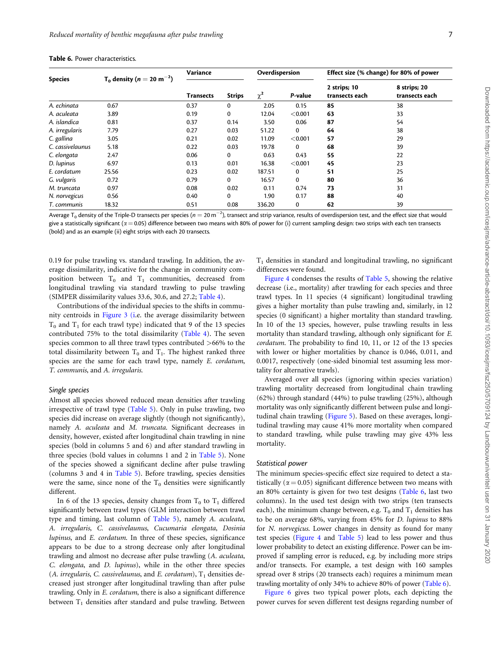| <b>Species</b>   | $T_0$ density (n = 20 m <sup>-2</sup> ) | Variance         |               | Overdispersion |             | Effect size (% change) for 80% of power |                                |
|------------------|-----------------------------------------|------------------|---------------|----------------|-------------|-----------------------------------------|--------------------------------|
|                  |                                         | <b>Transects</b> | <b>Strips</b> | $\chi^2$       | P-value     | 2 strips; 10<br>transects each          | 8 strips; 20<br>transects each |
| A. echinata      | 0.67                                    | 0.37             | $\mathbf 0$   | 2.05           | 0.15        | 85                                      | 38                             |
| A. aculeata      | 3.89                                    | 0.19             | $\mathbf 0$   | 12.04          | < 0.001     | 63                                      | 33                             |
| A. islandica     | 0.81                                    | 0.37             | 0.14          | 3.50           | 0.06        | 87                                      | 54                             |
| A. irregularis   | 7.79                                    | 0.27             | 0.03          | 51.22          | 0           | 64                                      | 38                             |
| C. gallina       | 3.05                                    | 0.21             | 0.02          | 11.09          | < 0.001     | 57                                      | 29                             |
| C. cassivelaunus | 5.18                                    | 0.22             | 0.03          | 19.78          | 0           | 68                                      | 39                             |
| C. elongata      | 2.47                                    | 0.06             | 0             | 0.63           | 0.43        | 55                                      | 22                             |
| D. lupinus       | 6.97                                    | 0.13             | 0.01          | 16.38          | < 0.001     | 45                                      | 23                             |
| E. cordatum      | 25.56                                   | 0.23             | 0.02          | 187.51         | 0           | 51                                      | 25                             |
| G. vulgaris      | 0.72                                    | 0.79             | 0             | 16.57          | 0           | 80                                      | 36                             |
| M. truncata      | 0.97                                    | 0.08             | 0.02          | 0.11           | 0.74        | 73                                      | 31                             |
| N. norvegicus    | 0.56                                    | 0.40             | $\Omega$      | 1.90           | 0.17        | 88                                      | 40                             |
| T. communis      | 18.32                                   | 0.51             | 0.08          | 336.20         | $\mathbf 0$ | 62                                      | 39                             |

<span id="page-6-0"></span>

Average T $_0$  density of the Triple-D transects per species ( $n=$  20 m $^{-2}$ ), transect and strip variance, results of overdispersion test, and the effect size that would give a statistically significant ( $\alpha$  = 0.05) difference between two means with 80% of power for (i) current sampling design: two strips with each ten transects (bold) and as an example (ii) eight strips with each 20 transects.

0.19 for pulse trawling vs. standard trawling. In addition, the average dissimilarity, indicative for the change in community composition between  $T_0$  and  $T_1$  communities, decreased from longitudinal trawling via standard trawling to pulse trawling (SIMPER dissimilarity values 33.6, 30.6, and 27.2; [Table 4](#page-4-0)).

Contributions of the individual species to the shifts in community centroids in [Figure 3 \(i](#page-4-0).e. the average dissimilarity between  $T_0$  and  $T_1$  for each trawl type) indicated that 9 of the 13 species contributed 75% to the total dissimilarity [\(Table 4](#page-4-0)). The seven species common to all three trawl types contributed >66% to the total dissimilarity between  $T_0$  and  $T_1$ . The highest ranked three species are the same for each trawl type, namely E. cordatum, T. communis, and A. irregularis.

#### Single species

Almost all species showed reduced mean densities after trawling irrespective of trawl type ([Table 5](#page-5-0)). Only in pulse trawling, two species did increase on average slightly (though not significantly), namely A. aculeata and M. truncata. Significant decreases in density, however, existed after longitudinal chain trawling in nine species (bold in columns 5 and 6) and after standard trawling in three species (bold values in columns 1 and 2 in [Table 5](#page-5-0)). None of the species showed a significant decline after pulse trawling (columns 3 and 4 in [Table 5\)](#page-5-0). Before trawling, species densities were the same, since none of the  $T_0$  densities were significantly different.

In 6 of the 13 species, density changes from  $T_0$  to  $T_1$  differed significantly between trawl types (GLM interaction between trawl type and timing, last column of [Table 5\)](#page-5-0), namely A. aculeata, A. irregularis, C. cassivelaunus, Cucumaria elongata, Dosinia lupinus, and E. cordatum. In three of these species, significance appears to be due to a strong decrease only after longitudinal trawling and almost no decrease after pulse trawling (A. aculeata, C. elongata, and D. lupinus), while in the other three species (A. irregularis, C. cassivelaunus, and E. cordatum),  $T_1$  densities decreased just stronger after longitudinal trawling than after pulse trawling. Only in E. cordatum, there is also a significant difference between  $T_1$  densities after standard and pulse trawling. Between  $T<sub>1</sub>$  densities in standard and longitudinal trawling, no significant differences were found.

[Figure 4](#page-7-0) condenses the results of [Table 5,](#page-5-0) showing the relative decrease (i.e., mortality) after trawling for each species and three trawl types. In 11 species (4 significant) longitudinal trawling gives a higher mortality than pulse trawling and, similarly, in 12 species (0 significant) a higher mortality than standard trawling. In 10 of the 13 species, however, pulse trawling results in less mortality than standard trawling, although only significant for E. cordatum. The probability to find 10, 11, or 12 of the 13 species with lower or higher mortalities by chance is 0.046, 0.011, and 0.0017, respectively (one-sided binomial test assuming less mortality for alternative trawls).

Averaged over all species (ignoring within species variation) trawling mortality decreased from longitudinal chain trawling (62%) through standard (44%) to pulse trawling (25%), although mortality was only significantly different between pulse and longitudinal chain trawling ([Figure 5\)](#page-7-0). Based on these averages, longitudinal trawling may cause 41% more mortality when compared to standard trawling, while pulse trawling may give 43% less mortality.

#### Statistical power

The minimum species-specific effect size required to detect a statistically ( $\alpha$  = 0.05) significant difference between two means with an 80% certainty is given for two test designs (Table 6, last two columns). In the used test design with two strips (ten transects each), the minimum change between, e.g.  $T_0$  and  $T_1$  densities has to be on average 68%, varying from 45% for D. lupinus to 88% for N. norvegicus. Lower changes in density as found for many test species [\(Figure 4](#page-7-0) and [Table 5\)](#page-5-0) lead to less power and thus lower probability to detect an existing difference. Power can be improved if sampling error is reduced, e.g. by including more strips and/or transects. For example, a test design with 160 samples spread over 8 strips (20 transects each) requires a minimum mean trawling mortality of only 34% to achieve 80% of power (Table 6).

[Figure 6](#page-8-0) gives two typical power plots, each depicting the power curves for seven different test designs regarding number of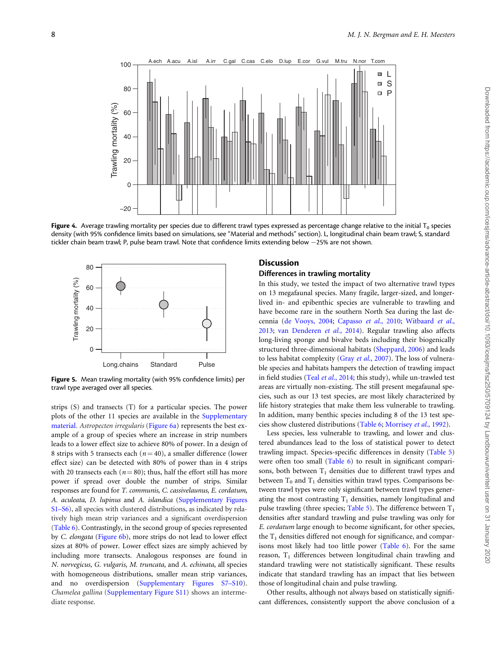<span id="page-7-0"></span>

Figure 4. Average trawling mortality per species due to different trawl types expressed as percentage change relative to the initial  $T_0$  species density (with 95% confidence limits based on simulations, see "Material and methods" section). L, longitudinal chain beam trawl; S, standard tickler chain beam trawl; P, pulse beam trawl. Note that confidence limits extending below -25% are not shown.



Figure 5. Mean trawling mortality (with 95% confidence limits) per trawl type averaged over all species.

strips (S) and transects (T) for a particular species. The power plots of the other 11 species are available in the [Supplementary](https://academic.oup.com/icesjms/article-lookup/doi/10.1093/icesjms/fsz250#supplementary-data) [material](https://academic.oup.com/icesjms/article-lookup/doi/10.1093/icesjms/fsz250#supplementary-data). Astropecten irregularis ([Figure 6a](#page-8-0)) represents the best example of a group of species where an increase in strip numbers leads to a lower effect size to achieve 80% of power. In a design of 8 strips with 5 transects each ( $n = 40$ ), a smaller difference (lower effect size) can be detected with 80% of power than in 4 strips with 20 transects each ( $n = 80$ ); thus, half the effort still has more power if spread over double the number of strips. Similar responses are found for T. communis, C. cassivelaunus, E. cordatum, A. aculeata, D. lupinus and A. islandica [\(Supplementary Figures](https://academic.oup.com/icesjms/article-lookup/doi/10.1093/icesjms/fsz250#supplementary-data) [S1–S6\)](https://academic.oup.com/icesjms/article-lookup/doi/10.1093/icesjms/fsz250#supplementary-data), all species with clustered distributions, as indicated by relatively high mean strip variances and a significant overdispersion ([Table 6](#page-6-0)). Contrastingly, in the second group of species represented by C. elongata [\(Figure 6b](#page-8-0)), more strips do not lead to lower effect sizes at 80% of power. Lower effect sizes are simply achieved by including more transects. Analogous responses are found in N. norvegicus, G. vulgaris, M. truncata, and A. echinata, all species with homogeneous distributions, smaller mean strip variances, and no overdispersion ([Supplementary Figures S7–S10](https://academic.oup.com/icesjms/article-lookup/doi/10.1093/icesjms/fsz250#supplementary-data)). Chamelea gallina [\(Supplementary Figure S11\)](https://academic.oup.com/icesjms/article-lookup/doi/10.1093/icesjms/fsz250#supplementary-data) shows an intermediate response.

# **Discussion**

# Differences in trawling mortality

In this study, we tested the impact of two alternative trawl types on 13 megafaunal species. Many fragile, larger-sized, and longerlived in- and epibenthic species are vulnerable to trawling and have become rare in the southern North Sea during the last decennia ([de Vooys, 2004](#page-10-0); [Capasso](#page-10-0) et al., 2010; [Witbaard](#page-11-0) et al., [2013;](#page-11-0) [van Denderen](#page-11-0) et al., 2014). Regular trawling also affects long-living sponge and bivalve beds including their biogenically structured three-dimensional habitats [\(Sheppard, 2006](#page-11-0)) and leads to less habitat complexity (Gray et al.[, 2007](#page-10-0)). The loss of vulnerable species and habitats hampers the detection of trawling impact in field studies (Teal et al.[, 2014](#page-11-0); this study), while un-trawled test areas are virtually non-existing. The still present megafaunal species, such as our 13 test species, are most likely characterized by life history strategies that make them less vulnerable to trawling. In addition, many benthic species including 8 of the 13 test species show clustered distributions [\(Table 6](#page-6-0); [Morrisey](#page-10-0) et al., 1992).

Less species, less vulnerable to trawling, and lower and clustered abundances lead to the loss of statistical power to detect trawling impact. Species-specific differences in density ([Table 5](#page-5-0)) were often too small ([Table 6](#page-6-0)) to result in significant comparisons, both between  $T_1$  densities due to different trawl types and between  $T_0$  and  $T_1$  densities within trawl types. Comparisons between trawl types were only significant between trawl types generating the most contrasting  $T_1$  densities, namely longitudinal and pulse trawling (three species; [Table 5](#page-5-0)). The difference between  $T_1$ densities after standard trawling and pulse trawling was only for E. cordatum large enough to become significant, for other species, the  $T_1$  densities differed not enough for significance, and comparisons most likely had too little power [\(Table 6](#page-6-0)). For the same reason,  $T_1$  differences between longitudinal chain trawling and standard trawling were not statistically significant. These results indicate that standard trawling has an impact that lies between those of longitudinal chain and pulse trawling.

Other results, although not always based on statistically significant differences, consistently support the above conclusion of a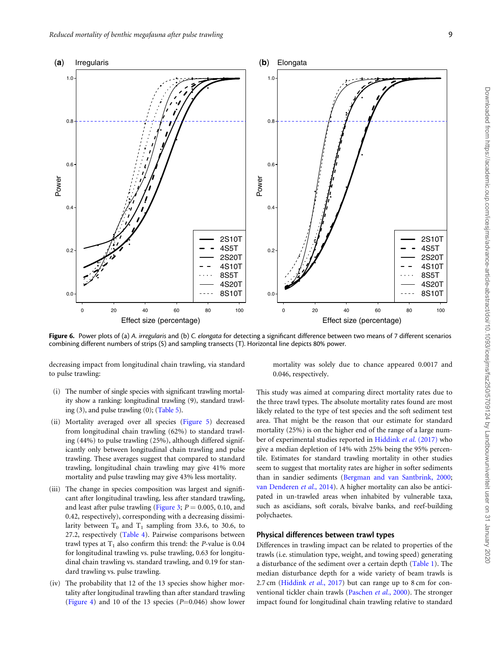<span id="page-8-0"></span>

Figure 6. Power plots of (a) A. irregularis and (b) C. elongata for detecting a significant difference between two means of 7 different scenarios combining different numbers of strips (S) and sampling transects (T). Horizontal line depicts 80% power.

decreasing impact from longitudinal chain trawling, via standard to pulse trawling:

- (i) The number of single species with significant trawling mortality show a ranking: longitudinal trawling (9), standard trawling (3), and pulse trawling (0); ([Table 5](#page-5-0)).
- (ii) Mortality averaged over all species [\(Figure 5\)](#page-7-0) decreased from longitudinal chain trawling (62%) to standard trawling (44%) to pulse trawling (25%), although differed significantly only between longitudinal chain trawling and pulse trawling. These averages suggest that compared to standard trawling, longitudinal chain trawling may give 41% more mortality and pulse trawling may give 43% less mortality.
- (iii) The change in species composition was largest and significant after longitudinal trawling, less after standard trawling, and least after pulse trawling ([Figure 3](#page-4-0);  $P = 0.005, 0.10,$  and 0.42, respectively), corresponding with a decreasing dissimilarity between  $T_0$  and  $T_1$  sampling from 33.6, to 30.6, to 27.2, respectively ([Table 4](#page-4-0)). Pairwise comparisons between trawl types at  $T_1$  also confirm this trend: the P-value is 0.04 for longitudinal trawling vs. pulse trawling, 0.63 for longitudinal chain trawling vs. standard trawling, and 0.19 for standard trawling vs. pulse trawling.
- (iv) The probability that 12 of the 13 species show higher mortality after longitudinal trawling than after standard trawling ([Figure 4\)](#page-7-0) and 10 of the 13 species  $(P=0.046)$  show lower

mortality was solely due to chance appeared 0.0017 and 0.046, respectively.

This study was aimed at comparing direct mortality rates due to the three trawl types. The absolute mortality rates found are most likely related to the type of test species and the soft sediment test area. That might be the reason that our estimate for standard mortality (25%) is on the higher end of the range of a large number of experimental studies reported in [Hiddink](#page-10-0) et al. (2017) who give a median depletion of 14% with 25% being the 95% percentile. Estimates for standard trawling mortality in other studies seem to suggest that mortality rates are higher in softer sediments than in sandier sediments ([Bergman and van Santbrink, 2000;](#page-9-0) [van Denderen](#page-11-0) et al., 2014). A higher mortality can also be anticipated in un-trawled areas when inhabited by vulnerable taxa, such as ascidians, soft corals, bivalve banks, and reef-building polychaetes.

# Physical differences between trawl types

Differences in trawling impact can be related to properties of the trawls (i.e. stimulation type, weight, and towing speed) generating a disturbance of the sediment over a certain depth [\(Table 1\)](#page-2-0). The median disturbance depth for a wide variety of beam trawls is 2.7 cm ([Hiddink](#page-10-0) et al., 2017) but can range up to 8 cm for con-ventional tickler chain trawls ([Paschen](#page-10-0) et al., 2000). The stronger impact found for longitudinal chain trawling relative to standard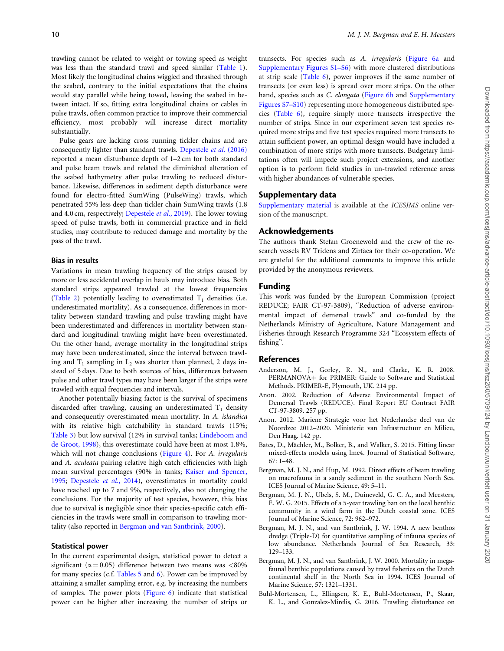<span id="page-9-0"></span>trawling cannot be related to weight or towing speed as weight was less than the standard trawl and speed similar [\(Table 1\)](#page-2-0). Most likely the longitudinal chains wiggled and thrashed through the seabed, contrary to the initial expectations that the chains would stay parallel while being towed, leaving the seabed in between intact. If so, fitting extra longitudinal chains or cables in pulse trawls, often common practice to improve their commercial efficiency, most probably will increase direct mortality substantially.

Pulse gears are lacking cross running tickler chains and are consequently lighter than standard trawls. [Depestele](#page-10-0) et al. (2016) reported a mean disturbance depth of 1–2 cm for both standard and pulse beam trawls and related the diminished alteration of the seabed bathymetry after pulse trawling to reduced disturbance. Likewise, differences in sediment depth disturbance were found for electro-fitted SumWing (PulseWing) trawls, which penetrated 55% less deep than tickler chain SumWing trawls (1.8 and 4.0 cm, respectively; [Depestele](#page-10-0) et al., 2019). The lower towing speed of pulse trawls, both in commercial practice and in field studies, may contribute to reduced damage and mortality by the pass of the trawl.

# Bias in results

Variations in mean trawling frequency of the strips caused by more or less accidental overlap in hauls may introduce bias. Both standard strips appeared trawled at the lowest frequencies ([Table 2\)](#page-3-0) potentially leading to overestimated  $T_1$  densities (i.e. underestimated mortality). As a consequence, differences in mortality between standard trawling and pulse trawling might have been underestimated and differences in mortality between standard and longitudinal trawling might have been overestimated. On the other hand, average mortality in the longitudinal strips may have been underestimated, since the interval between trawling and  $T_1$  sampling in  $L_2$  was shorter than planned, 2 days instead of 5 days. Due to both sources of bias, differences between pulse and other trawl types may have been larger if the strips were trawled with equal frequencies and intervals.

Another potentially biasing factor is the survival of specimens discarded after trawling, causing an underestimated  $T_1$  density and consequently overestimated mean mortality. In A. islandica with its relative high catchability in standard trawls (15%; [Table 3](#page-3-0)) but low survival (12% in survival tanks; [Lindeboom and](#page-10-0) [de Groot, 1998\)](#page-10-0), this overestimate could have been at most 1.8%, which will not change conclusions ([Figure 4\)](#page-7-0). For A. *irregularis* and A. aculeata pairing relative high catch efficiencies with high mean survival percentages (90% in tanks; [Kaiser and Spencer,](#page-10-0) [1995;](#page-10-0) [Depestele](#page-10-0) et al., 2014), overestimates in mortality could have reached up to 7 and 9%, respectively, also not changing the conclusions. For the majority of test species, however, this bias due to survival is negligible since their species-specific catch efficiencies in the trawls were small in comparison to trawling mortality (also reported in Bergman and van Santbrink, 2000).

#### Statistical power

In the current experimental design, statistical power to detect a significant ( $\alpha$  = 0.05) difference between two means was <80% for many species (c.f. [Tables 5](#page-5-0) and [6\)](#page-6-0). Power can be improved by attaining a smaller sampling error, e.g. by increasing the numbers of samples. The power plots [\(Figure 6\)](#page-8-0) indicate that statistical power can be higher after increasing the number of strips or

transects. For species such as A. irregularis [\(Figure 6a](#page-8-0) and [Supplementary Figures S1–S6](https://academic.oup.com/icesjms/article-lookup/doi/10.1093/icesjms/fsz250#supplementary-data)) with more clustered distributions at strip scale [\(Table 6](#page-6-0)), power improves if the same number of transects (or even less) is spread over more strips. On the other hand, species such as *C. elongata* [\(Figure 6b](#page-8-0) and [Supplementary](https://academic.oup.com/icesjms/article-lookup/doi/10.1093/icesjms/fsz250#supplementary-data) [Figures S7–S10](https://academic.oup.com/icesjms/article-lookup/doi/10.1093/icesjms/fsz250#supplementary-data)) representing more homogeneous distributed species ([Table 6\)](#page-6-0), require simply more transects irrespective the number of strips. Since in our experiment seven test species required more strips and five test species required more transects to attain sufficient power, an optimal design would have included a combination of more strips with more transects. Budgetary limitations often will impede such project extensions, and another option is to perform field studies in un-trawled reference areas with higher abundances of vulnerable species.

# Supplementary data

[Supplementary material](https://academic.oup.com/icesjms/article-lookup/doi/10.1093/icesjms/fsz250#supplementary-data) is available at the ICESJMS online version of the manuscript.

# Acknowledgements

The authors thank Stefan Groenewold and the crew of the research vessels RV Tridens and Zirfaea for their co-operation. We are grateful for the additional comments to improve this article provided by the anonymous reviewers.

# Funding

This work was funded by the European Commission (project REDUCE; FAIR CT-97-3809), "Reduction of adverse environmental impact of demersal trawls" and co-funded by the Netherlands Ministry of Agriculture, Nature Management and Fisheries through Research Programme 324 "Ecosystem effects of fishing".

#### References

- Anderson, M. J., Gorley, R. N., and Clarke, K. R. 2008. PERMANOVA+ for PRIMER: Guide to Software and Statistical Methods. PRIMER-E, Plymouth, UK. 214 pp.
- Anon. 2002. Reduction of Adverse Environmental Impact of Demersal Trawls (REDUCE). Final Report EU Contract FAIR CT-97-3809. 257 pp.
- Anon. 2012. Mariene Strategie voor het Nederlandse deel van de Noordzee 2012–2020. Ministerie van Infrastructuur en Milieu, Den Haag. 142 pp.
- Bates, D., Mächler, M., Bolker, B., and Walker, S. 2015. Fitting linear mixed-effects models using lme4. Journal of Statistical Software, 67: 1–48.
- Bergman, M. J. N., and Hup, M. 1992. Direct effects of beam trawling on macrofauna in a sandy sediment in the southern North Sea. ICES Journal of Marine Science, 49: 5–11.
- Bergman, M. J. N., Ubels, S. M., Duineveld, G. C. A., and Meesters, E. W. G. 2015. Effects of a 5-year trawling ban on the local benthic community in a wind farm in the Dutch coastal zone. ICES Journal of Marine Science, 72: 962–972.
- Bergman, M. J. N., and van Santbrink, J. W. 1994. A new benthos dredge (Triple-D) for quantitative sampling of infauna species of low abundance. Netherlands Journal of Sea Research, 33: 129–133.
- Bergman, M. J. N., and van Santbrink, J. W. 2000. Mortality in megafaunal benthic populations caused by trawl fisheries on the Dutch continental shelf in the North Sea in 1994. ICES Journal of Marine Science, 57: 1321–1331.
- Buhl-Mortensen, L., Ellingsen, K. E., Buhl-Mortensen, P., Skaar, K. L., and Gonzalez-Mirelis, G. 2016. Trawling disturbance on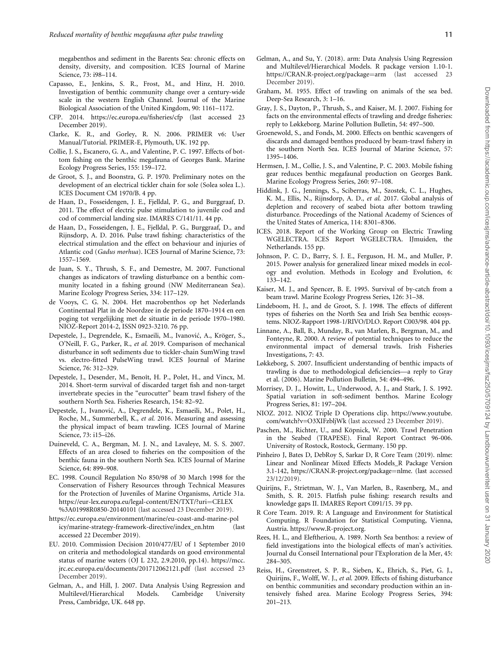<span id="page-10-0"></span>megabenthos and sediment in the Barents Sea: chronic effects on density, diversity, and composition. ICES Journal of Marine Science, 73: i98–114.

- Capasso, E., Jenkins, S. R., Frost, M., and Hinz, H. 2010. Investigation of benthic community change over a century-wide scale in the western English Channel. Journal of the Marine Biological Association of the United Kingdom, 90: 1161–1172.
- CFP. 2014. [https://ec.europa.eu/fisheries/cfp \(last accessed 23](https://ec.europa.eu/fisheries/cfp_en) [December 2019\).](https://ec.europa.eu/fisheries/cfp_en)
- Clarke, K. R., and Gorley, R. N. 2006. PRIMER v6: User Manual/Tutorial. PRIMER-E, Plymouth, UK. 192 pp.
- Collie, J. S., Escanero, G. A., and Valentine, P. C. 1997. Effects of bottom fishing on the benthic megafauna of Georges Bank. Marine Ecology Progress Series, 155: 159–172.
- de Groot, S. J., and Boonstra, G. P. 1970. Preliminary notes on the development of an electrical tickler chain for sole (Solea solea L.). ICES Document CM 1970/B. 4 pp.
- de Haan, D., Fosseidengen, J. E., Fjelldal, P. G., and Burggraaf, D. 2011. The effect of electric pulse stimulation to juvenile cod and cod of commercial landing size. IMARES C/141/11. 44 pp.
- de Haan, D., Fosseidengen, J. E., Fjelldal, P. G., Burggraaf, D., and Rijnsdorp, A. D. 2016. Pulse trawl fishing: characteristics of the electrical stimulation and the effect on behaviour and injuries of Atlantic cod (Gadus morhua). ICES Journal of Marine Science, 73: 1557–1569.
- de Juan, S. Y., Thrush, S. F., and Demestre, M. 2007. Functional changes as indicators of trawling disturbance on a benthic community located in a fishing ground (NW Mediterranean Sea). Marine Ecology Progress Series, 334: 117–129.
- de Vooys, C. G. N. 2004. Het macrobenthos op het Nederlands Continentaal Plat in de Noordzee in de periode 1870–1914 en een poging tot vergelijking met de situatie in de periode 1970–1980. NIOZ-Report 2014-2, ISSN 0923-3210. 76 pp.
- Depestele, J., Degrendele, K., Esmaeili, M., Ivanović, A., Kröger, S., O'Neill, F. G., Parker, R., et al. 2019. Comparison of mechanical disturbance in soft sediments due to tickler-chain SumWing trawl vs. electro-fitted PulseWing trawl. ICES Journal of Marine Science, 76: 312–329.
- Depestele, J., Desender, M., Benoît, H. P., Polet, H., and Vincx, M. 2014. Short-term survival of discarded target fish and non-target invertebrate species in the "eurocutter" beam trawl fishery of the southern North Sea. Fisheries Research, 154: 82–92.
- Depestele, J., Ivanović, A., Degrendele, K., Esmaeili, M., Polet, H., Roche, M., Summerbell, K., et al. 2016. Measuring and assessing the physical impact of beam trawling. ICES Journal of Marine Science, 73: i15–i26.
- Duineveld, C. A., Bergman, M. J. N., and Lavaleye, M. S. S. 2007. Effects of an area closed to fisheries on the composition of the benthic fauna in the southern North Sea. ICES Journal of Marine Science, 64: 899–908.
- EC. 1998. Council Regulation No 850/98 of 30 March 1998 for the Conservation of Fishery Resources through Technical Measures for the Protection of Juveniles of Marine Organisms, Article 31a. [https://eur-lex.europa.eu/legal-content/EN/TXT/?uri](https://eur-lex.europa.eu/legal-content/EN/TXT/?uri=CELEX&hx0025;3A01998R0850-20140101)=[CELEX](https://eur-lex.europa.eu/legal-content/EN/TXT/?uri=CELEX&hx0025;3A01998R0850-20140101) %[3A01998R0850-20140101](https://eur-lex.europa.eu/legal-content/EN/TXT/?uri=CELEX&hx0025;3A01998R0850-20140101) (last accessed 23 December 2019).
- [https://ec.europa.eu/environment/marine/eu-coast-and-marine-pol](https://ec.europa.eu/environment/marine/eu-coast-and-marine-policy/marine-strategy-framework-directive/index_en.htm (last accessed 22 December 2019)) [icy/marine-strategy-framework-directive/index\\_en.htm \(last](https://ec.europa.eu/environment/marine/eu-coast-and-marine-policy/marine-strategy-framework-directive/index_en.htm (last accessed 22 December 2019)) [accessed 22 December 2019\).](https://ec.europa.eu/environment/marine/eu-coast-and-marine-policy/marine-strategy-framework-directive/index_en.htm (last accessed 22 December 2019))
- EU. 2010. Commission Decision 2010/477/EU of 1 September 2010 on criteria and methodological standards on good environmental status of marine waters (OJ L 232, 2.9.2010, pp.14). [https://mcc.](https://mcc.jrc.ec.europa.eu/documents/201712062121.pdf) [jrc.ec.europa.eu/documents/201712062121.pdf](https://mcc.jrc.ec.europa.eu/documents/201712062121.pdf) (last accessed 23 December 2019).
- Gelman, A., and Hill, J. 2007. Data Analysis Using Regression and Multilevel/Hierarchical Models. Cambridge University Press, Cambridge, UK. 648 pp.
- Gelman, A., and Su, Y. (2018). arm: Data Analysis Using Regression and Multilevel/Hierarchical Models. R package version 1.10-1. [https://CRAN.R-project.org/package](https://CRAN.R-project.org/package=arm)=[arm](https://CRAN.R-project.org/package=arm) (last accessed 23 December 2019).
- Graham, M. 1955. Effect of trawling on animals of the sea bed. Deep-Sea Research, 3: 1–16.
- Gray, J. S., Dayton, P., Thrush, S., and Kaiser, M. J. 2007. Fishing for facts on the environmental effects of trawling and dredge fisheries: reply to Løkkeborg. Marine Pollution Bulletin, 54: 497–500.
- Groenewold, S., and Fonds, M. 2000. Effects on benthic scavengers of discards and damaged benthos produced by beam-trawl fishery in the southern North Sea. ICES Journal of Marine Science, 57: 1395–1406.
- Hermsen, J. M., Collie, J. S., and Valentine, P. C. 2003. Mobile fishing gear reduces benthic megafaunal production on Georges Bank. Marine Ecology Progress Series, 260: 97–108.
- Hiddink, J. G., Jennings, S., Sciberras, M., Szostek, C. L., Hughes, K. M., Ellis, N., Rijnsdorp, A. D., et al. 2017. Global analysis of depletion and recovery of seabed biota after bottom trawling disturbance. Proceedings of the National Academy of Sciences of the United States of America, 114: 8301–8306.
- ICES. 2018. Report of the Working Group on Electric Trawling WGELECTRA. ICES Report WGELECTRA. IJmuiden, the Netherlands. 155 pp.
- Johnson, P. C. D., Barry, S. J. E., Ferguson, H. M., and Muller, P. 2015. Power analysis for generalized linear mixed models in ecology and evolution. Methods in Ecology and Evolution, 6: 133–142.
- Kaiser, M. J., and Spencer, B. E. 1995. Survival of by-catch from a beam trawl. Marine Ecology Progress Series, 126: 31–38.
- Lindeboom, H. J., and de Groot, S. J. 1998. The effects of different types of fisheries on the North Sea and Irish Sea benthic ecosystems. NIOZ-Rapport 1998-1/RIVO/DLO. Report C003/98. 404 pp.
- Linnane, A., Ball, B., Munday, B., van Marlen, B., Bergman, M., and Fonteyne, R. 2000. A review of potential techniques to reduce the environmental impact of demersal trawls. Irish Fisheries Investigations, 7: 43.
- Løkkeborg, S. 2007. Insufficient understanding of benthic impacts of trawling is due to methodological deficiencies—a reply to Gray et al. (2006). Marine Pollution Bulletin, 54: 494–496.
- Morrisey, D. J., Howitt, L., Underwood, A. J., and Stark, J. S. 1992. Spatial variation in soft-sediment benthos. Marine Ecology Progress Series, 81: 197–204.
- NIOZ. 2012. NIOZ Triple D Operations clip. [https://www.youtube.](https://www.youtube.com/watch?v=O3XIFzbljWk) [com/watch?v=O3XIFzbljWk](https://www.youtube.com/watch?v=O3XIFzbljWk) (last accessed 23 December 2019).
- Paschen, M., Richter, U., and Köpnick, W. 2000. Trawl Penetration in the Seabed (TRAPESE). Final Report Contract 96-006. University of Rostock, Rostock, Germany. 150 pp.
- Pinheiro J, Bates D, DebRoy S, Sarkar D, R Core Team (2019). nlme: Linear and Nonlinear Mixed Effects Models\_R Package Version 3.1-142, https://CRAN.R-project.org/package=nlme. (last accessed 23/12/2019).
- Quirijns, F., Strietman, W. J., Van Marlen, B., Rasenberg, M., and Smith, S. R. 2015. Flatfish pulse fishing: research results and knowledge gaps II. IMARES Report C091/15. 39 pp.
- R Core Team. 2019. R: A Language and Environment for Statistical Computing. R Foundation for Statistical Computing, Vienna, Austria. [https://www.R-project.org.](https://www.R-project.org)
- Rees, H. L., and Eleftheriou, A. 1989. North Sea benthos: a review of field investigations into the biological effects of man's activities. Journal du Conseil International pour l'Exploration de la Mer, 45: 284–305.
- Reiss, H., Greenstreet, S. P. R., Sieben, K., Ehrich, S., Piet, G. J., Quirijns, F., Wolff, W. J., et al. 2009. Effects of fishing disturbance on benthic communities and secondary production within an intensively fished area. Marine Ecology Progress Series, 394: 201–213.